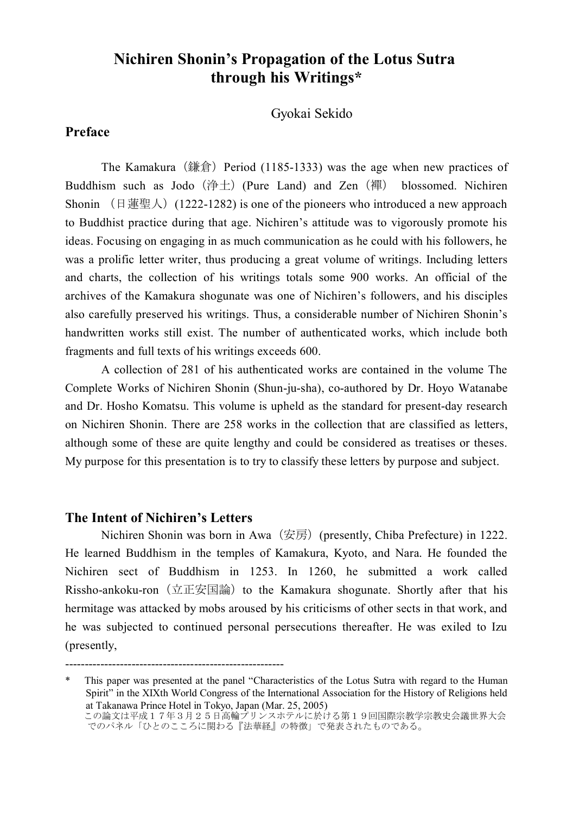# **Nichiren Shonin's Propagation of the Lotus Sutra through his Writings\***

Gyokai Sekido

### **Preface**

The Kamakura  $(\text{iff } )$  Period (1185-1333) was the age when new practices of Buddhism such as Jodo (浄土) (Pure Land) and Zen (襌) blossomed. Nichiren Shonin  $( \text{E} \equiv \mathbb{E} \setminus )$  (1222-1282) is one of the pioneers who introduced a new approach to Buddhist practice during that age. Nichiren's attitude was to vigorously promote his ideas. Focusing on engaging in as much communication as he could with his followers, he was a prolific letter writer, thus producing a great volume of writings. Including letters and charts, the collection of his writings totals some 900 works. An official of the archives of the Kamakura shogunate was one of Nichiren's followers, and his disciples also carefully preserved his writings. Thus, a considerable number of Nichiren Shonin's handwritten works still exist. The number of authenticated works, which include both fragments and full texts of his writings exceeds 600.

A collection of 281 of his authenticated works are contained in the volume The Complete Works of Nichiren Shonin (Shun-ju-sha), co-authored by Dr. Hoyo Watanabe and Dr. Hosho Komatsu. This volume is upheld as the standard for present-day research on Nichiren Shonin. There are 258 works in the collection that are classified as letters, although some of these are quite lengthy and could be considered as treatises or theses. My purpose for this presentation is to try to classify these letters by purpose and subject.

### **The Intent of Nichiren's Letters**

--------------------------------------------------------

Nichiren Shonin was born in Awa  $(\overline{\mathcal{F}}\overline{\mathcal{F}})$  (presently, Chiba Prefecture) in 1222. He learned Buddhism in the temples of Kamakura, Kyoto, and Nara. He founded the Nichiren sect of Buddhism in 1253. In 1260, he submitted a work called Rissho-ankoku-ron (立正安国論) to the Kamakura shogunate. Shortly after that his hermitage was attacked by mobs aroused by his criticisms of other sects in that work, and he was subjected to continued personal persecutions thereafter. He was exiled to Izu (presently,

This paper was presented at the panel "Characteristics of the Lotus Sutra with regard to the Human Spirit" in the XIXth World Congress of the International Association for the History of Religions held at Takanawa Prince Hotel in Tokyo, Japan (Mar. 25, 2005) この論文は平成17年3月25日高輪プリンスホテルに於ける第19回国際宗教学宗教史会議世界大彡 でのパネル「ひとのこころに関わる『法華経』の特徴」で発表されたものである。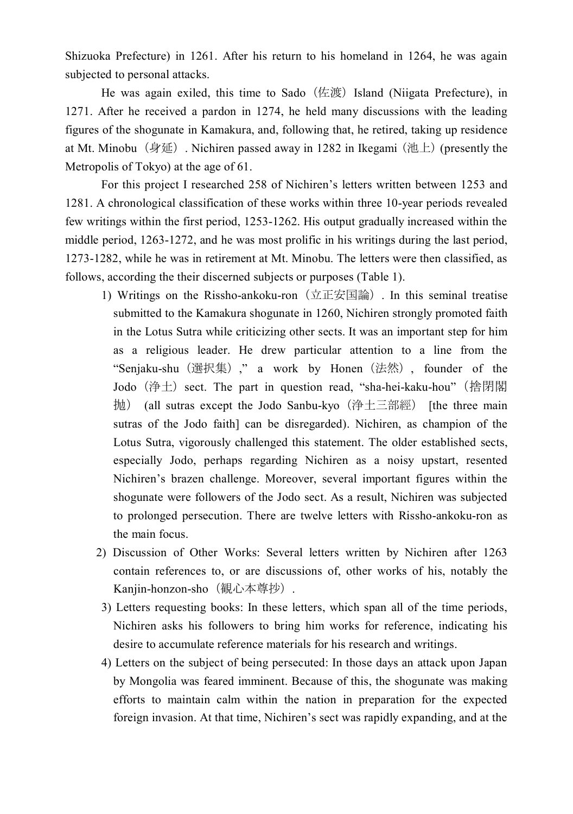Shizuoka Prefecture) in 1261. After his return to his homeland in 1264, he was again subjected to personal attacks.

He was again exiled, this time to Sado (佐渡) Island (Niigata Prefecture), in 1271. After he received a pardon in 1274, he held many discussions with the leading figures of the shogunate in Kamakura, and, following that, he retired, taking up residence at Mt. Minobu  $(\frac{1}{2} \mathcal{F})$ . Nichiren passed away in 1282 in Ikegami (池上) (presently the Metropolis of Tokyo) at the age of 61.

For this project I researched 258 of Nichiren's letters written between 1253 and 1281. A chronological classification of these works within three 10-year periods revealed few writings within the first period, 1253-1262. His output gradually increased within the middle period, 1263-1272, and he was most prolific in his writings during the last period, 1273-1282, while he was in retirement at Mt. Minobu. The letters were then classified, as follows, according the their discerned subjects or purposes (Table 1).

- 1) Writings on the Rissho-ankoku-ron (立正安国論) . In this seminal treatise submitted to the Kamakura shogunate in 1260, Nichiren strongly promoted faith in the Lotus Sutra while criticizing other sects. It was an important step for him as a religious leader. He drew particular attention to a line from the "Senjaku-shu (選択集)," a work by Honen (法然), founder of the Jodo (浄土) sect. The part in question read, "sha-hei-kaku-hou" (捨閉閣 抛) (all sutras except the Jodo Sanbu-kyo (浄土三部經) [the three main sutras of the Jodo faith] can be disregarded). Nichiren, as champion of the Lotus Sutra, vigorously challenged this statement. The older established sects, especially Jodo, perhaps regarding Nichiren as a noisy upstart, resented Nichiren's brazen challenge. Moreover, several important figures within the shogunate were followers of the Jodo sect. As a result, Nichiren was subjected to prolonged persecution. There are twelve letters with Rissho-ankoku-ron as the main focus.
- 2) Discussion of Other Works: Several letters written by Nichiren after 1263 contain references to, or are discussions of, other works of his, notably the Kanjin-honzon-sho (観心本尊抄).
- 3) Letters requesting books: In these letters, which span all of the time periods, Nichiren asks his followers to bring him works for reference, indicating his desire to accumulate reference materials for his research and writings.
- 4) Letters on the subject of being persecuted: In those days an attack upon Japan by Mongolia was feared imminent. Because of this, the shogunate was making efforts to maintain calm within the nation in preparation for the expected foreign invasion. At that time, Nichiren's sect was rapidly expanding, and at the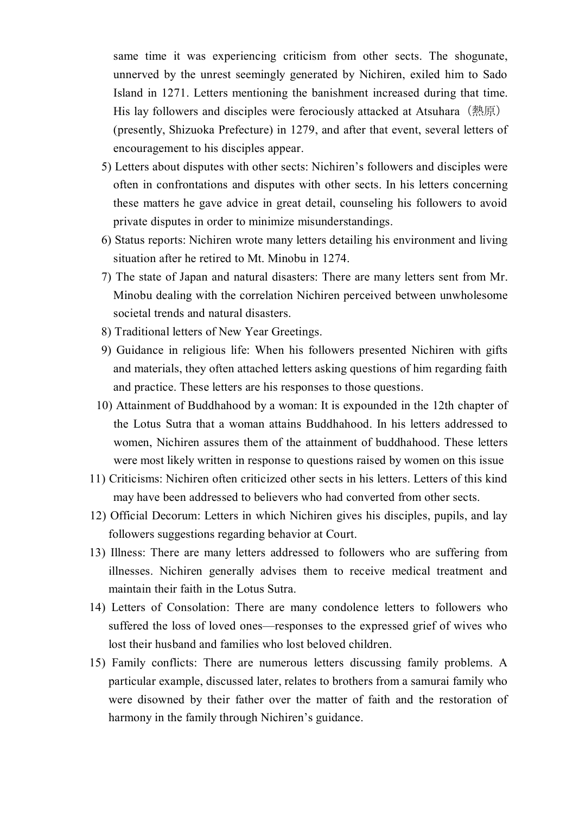same time it was experiencing criticism from other sects. The shogunate, unnerved by the unrest seemingly generated by Nichiren, exiled him to Sado Island in 1271. Letters mentioning the banishment increased during that time. His lay followers and disciples were ferociously attacked at Atsuhara (熱原) (presently, Shizuoka Prefecture) in 1279, and after that event, several letters of encouragement to his disciples appear.

- 5) Letters about disputes with other sects: Nichiren's followers and disciples were often in confrontations and disputes with other sects. In his letters concerning these matters he gave advice in great detail, counseling his followers to avoid private disputes in order to minimize misunderstandings.
- 6) Status reports: Nichiren wrote many letters detailing his environment and living situation after he retired to Mt. Minobu in 1274.
- 7) The state of Japan and natural disasters: There are many letters sent from Mr. Minobu dealing with the correlation Nichiren perceived between unwholesome societal trends and natural disasters.
- 8) Traditional letters of New Year Greetings.
- 9) Guidance in religious life: When his followers presented Nichiren with gifts and materials, they often attached letters asking questions of him regarding faith and practice. These letters are his responses to those questions.
- 10) Attainment of Buddhahood by a woman: It is expounded in the 12th chapter of the Lotus Sutra that a woman attains Buddhahood. In his letters addressed to women, Nichiren assures them of the attainment of buddhahood. These letters were most likely written in response to questions raised by women on this issue
- 11) Criticisms: Nichiren often criticized other sects in his letters. Letters of this kind may have been addressed to believers who had converted from other sects.
- 12) Official Decorum: Letters in which Nichiren gives his disciples, pupils, and lay followers suggestions regarding behavior at Court.
- 13) Illness: There are many letters addressed to followers who are suffering from illnesses. Nichiren generally advises them to receive medical treatment and maintain their faith in the Lotus Sutra.
- 14) Letters of Consolation: There are many condolence letters to followers who suffered the loss of loved ones—responses to the expressed grief of wives who lost their husband and families who lost beloved children.
- 15) Family conflicts: There are numerous letters discussing family problems. A particular example, discussed later, relates to brothers from a samurai family who were disowned by their father over the matter of faith and the restoration of harmony in the family through Nichiren's guidance.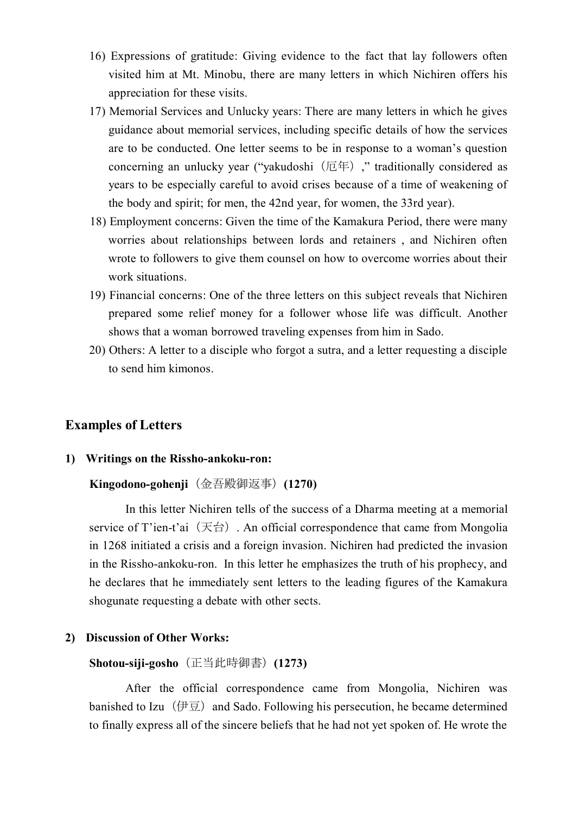- 16) Expressions of gratitude: Giving evidence to the fact that lay followers often visited him at Mt. Minobu, there are many letters in which Nichiren offers his appreciation for these visits.
- 17) Memorial Services and Unlucky years: There are many letters in which he gives guidance about memorial services, including specific details of how the services are to be conducted. One letter seems to be in response to a woman's question concerning an unlucky year ("yakudoshi $(E \oplus E)$ ", traditionally considered as years to be especially careful to avoid crises because of a time of weakening of the body and spirit; for men, the 42nd year, for women, the 33rd year).
- 18) Employment concerns: Given the time of the Kamakura Period, there were many worries about relationships between lords and retainers , and Nichiren often wrote to followers to give them counsel on how to overcome worries about their work situations.
- 19) Financial concerns: One of the three letters on this subject reveals that Nichiren prepared some relief money for a follower whose life was difficult. Another shows that a woman borrowed traveling expenses from him in Sado.
- 20) Others: A letter to a disciple who forgot a sutra, and a letter requesting a disciple to send him kimonos.

# **Examples of Letters**

### **1) Writings on the Rissho-ankoku-ron:**

#### **Kingodono-gohenji**( 金 吾 殿 御 返 事 ) **(1270)**

In this letter Nichiren tells of the success of a Dharma meeting at a memorial service of T'ien-t'ai  $(\overline{K} \triangleq)$ . An official correspondence that came from Mongolia in 1268 initiated a crisis and a foreign invasion. Nichiren had predicted the invasion in the Rissho-ankoku-ron. In this letter he emphasizes the truth of his prophecy, and he declares that he immediately sent letters to the leading figures of the Kamakura shogunate requesting a debate with other sects.

### **2) Discussion of Other Works:**

#### **Shotou-siji-gosho**( 正 当 此 時 御 書 ) **(1273)**

After the official correspondence came from Mongolia, Nichiren was banished to Izu ( $\overline{p}$  ) and Sado. Following his persecution, he became determined to finally express all of the sincere beliefs that he had not yet spoken of. He wrote the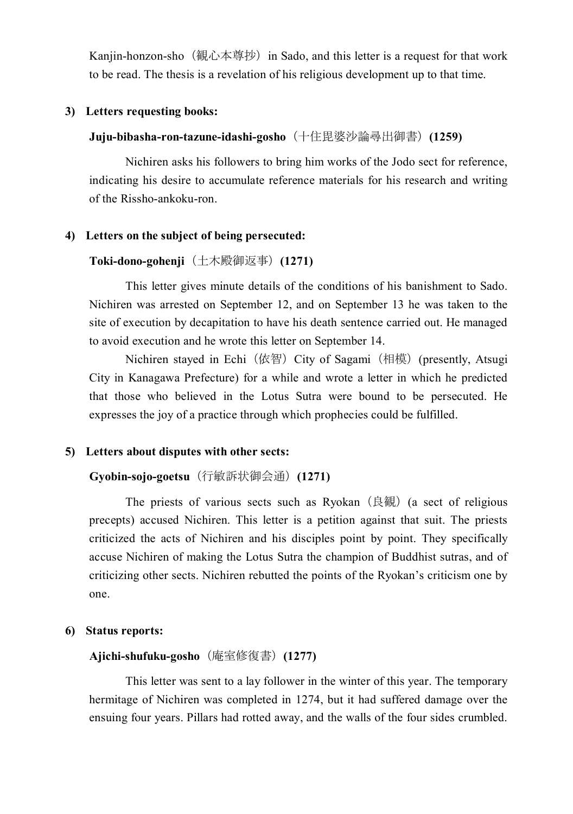Kanjin-honzon-sho (観心本尊抄) in Sado, and this letter is a request for that work to be read. The thesis is a revelation of his religious development up to that time.

#### **3) Letters requesting books:**

### Juju-bibasha-ron-tazune-idashi-gosho (十住毘婆沙論尋出御書) (1259)

Nichiren asks his followers to bring him works of the Jodo sect for reference, indicating his desire to accumulate reference materials for his research and writing of the Rissho-ankoku-ron.

### **4) Letters on the subject of being persecuted:**

### Toki-dono-gohenji (土木殿御返事) (1271)

This letter gives minute details of the conditions of his banishment to Sado. Nichiren was arrested on September 12, and on September 13 he was taken to the site of execution by decapitation to have his death sentence carried out. He managed to avoid execution and he wrote this letter on September 14.

Nichiren stayed in Echi (依智) City of Sagami (相模) (presently, Atsugi City in Kanagawa Prefecture) for a while and wrote a letter in which he predicted that those who believed in the Lotus Sutra were bound to be persecuted. He expresses the joy of a practice through which prophecies could be fulfilled.

### **5) Letters about disputes with other sects:**

### **Gyobin-sojo-goetsu** (行敏訴状御会通) **(1271)**

The priests of various sects such as Ryokan  $($ 良観 $)$  (a sect of religious precepts) accused Nichiren. This letter is a petition against that suit. The priests criticized the acts of Nichiren and his disciples point by point. They specifically accuse Nichiren of making the Lotus Sutra the champion of Buddhist sutras, and of criticizing other sects. Nichiren rebutted the points of the Ryokan's criticism one by one.

### **6) Status reports:**

#### **Ajichi-shufuku-gosho**( 庵 室 修 復 書 ) **(1277)**

This letter was sent to a lay follower in the winter of this year. The temporary hermitage of Nichiren was completed in 1274, but it had suffered damage over the ensuing four years. Pillars had rotted away, and the walls of the four sides crumbled.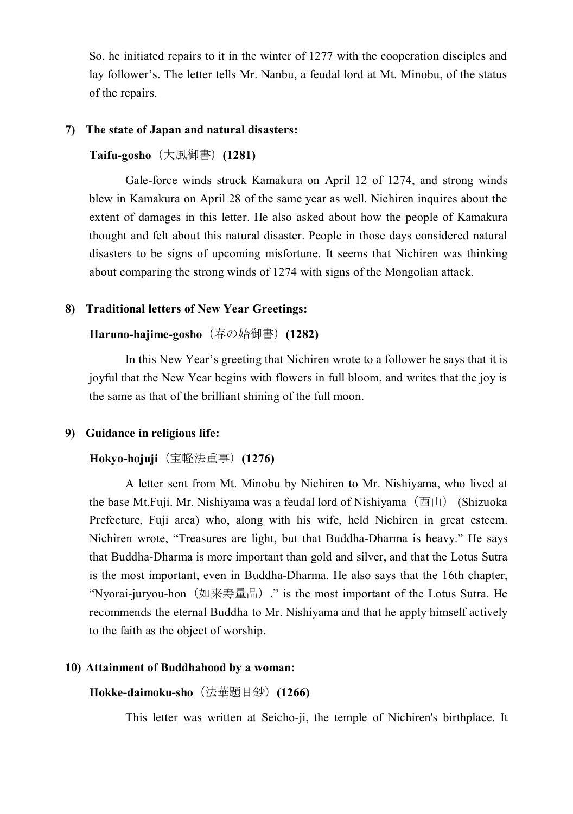So, he initiated repairs to it in the winter of 1277 with the cooperation disciples and lay follower's. The letter tells Mr. Nanbu, a feudal lord at Mt. Minobu, of the status of the repairs.

#### **7) The state of Japan and natural disasters:**

#### **Taifu-gosho** (大風御書) (1281)

Gale-force winds struck Kamakura on April 12 of 1274, and strong winds blew in Kamakura on April 28 of the same year as well. Nichiren inquires about the extent of damages in this letter. He also asked about how the people of Kamakura thought and felt about this natural disaster. People in those days considered natural disasters to be signs of upcoming misfortune. It seems that Nichiren was thinking about comparing the strong winds of 1274 with signs of the Mongolian attack.

#### **8) Traditional letters of New Year Greetings:**

### Haruno-hajime-gosho (春の始御書) (1282)

In this New Year's greeting that Nichiren wrote to a follower he says that it is joyful that the New Year begins with flowers in full bloom, and writes that the joy is the same as that of the brilliant shining of the full moon.

#### **9) Guidance in religious life:**

#### **Hokyo-hojuji** (宝軽法重事) (1276)

A letter sent from Mt. Minobu by Nichiren to Mr. Nishiyama, who lived at the base Mt. Fuji. Mr. Nishiyama was a feudal lord of Nishiyama  $(\text{西 } \mu)$  (Shizuoka Prefecture, Fuji area) who, along with his wife, held Nichiren in great esteem. Nichiren wrote, "Treasures are light, but that Buddha-Dharma is heavy." He says that Buddha-Dharma is more important than gold and silver, and that the Lotus Sutra is the most important, even in Buddha-Dharma. He also says that the 16th chapter, "Nyorai-juryou-hon (如来寿量品)," is the most important of the Lotus Sutra. He recommends the eternal Buddha to Mr. Nishiyama and that he apply himself actively to the faith as the object of worship.

#### **10) Attainment of Buddhahood by a woman:**

Hokke-daimoku-sho (法華題目鈔) (1266)

This letter was written at Seicho-ji, the temple of Nichiren's birthplace. It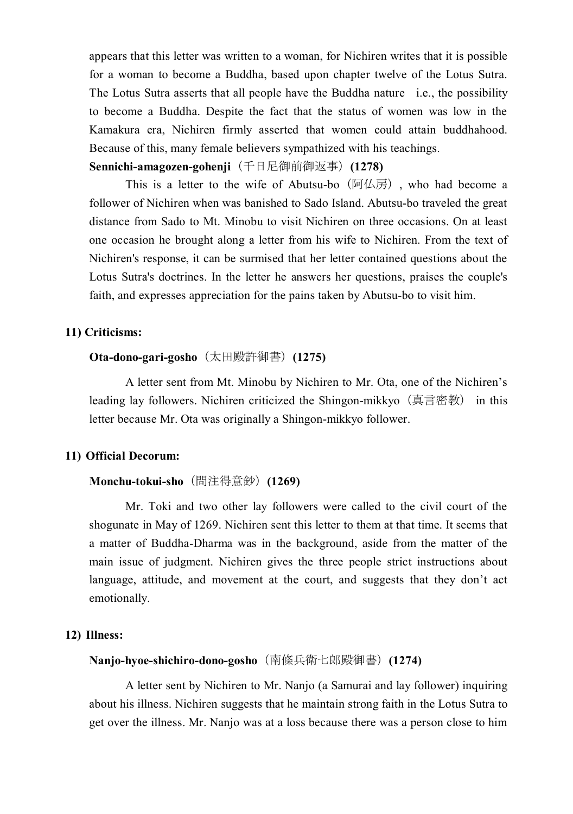appears that this letter was written to a woman, for Nichiren writes that it is possible for a woman to become a Buddha, based upon chapter twelve of the Lotus Sutra. The Lotus Sutra asserts that all people have the Buddha nature i.e., the possibility to become a Buddha. Despite the fact that the status of women was low in the Kamakura era, Nichiren firmly asserted that women could attain buddhahood. Because of this, many female believers sympathized with his teachings.

**Sennichi-amagozen-gohenji**(千日尼御前御返事)(1278)

This is a letter to the wife of Abutsu-bo  $(\overline{m}/\sqrt{m})$ , who had become a follower of Nichiren when was banished to Sado Island. Abutsu-bo traveled the great distance from Sado to Mt. Minobu to visit Nichiren on three occasions. On at least one occasion he brought along a letter from his wife to Nichiren. From the text of Nichiren's response, it can be surmised that her letter contained questions about the Lotus Sutra's doctrines. In the letter he answers her questions, praises the couple's faith, and expresses appreciation for the pains taken by Abutsu-bo to visit him.

#### **11) Criticisms:**

## **Ota-dono-gari-gosho** (太田殿許御書) (1275)

A letter sent from Mt. Minobu by Nichiren to Mr. Ota, one of the Nichiren's leading lay followers. Nichiren criticized the Shingon-mikkyo (真言密教) in this letter because Mr. Ota was originally a Shingon-mikkyo follower.

### **11) Official Decorum:**

#### **Monchu-tokui-sho** (間注得意鈔) **(1269)**

Mr. Toki and two other lay followers were called to the civil court of the shogunate in May of 1269. Nichiren sent this letter to them at that time. It seems that a matter of Buddha-Dharma was in the background, aside from the matter of the main issue of judgment. Nichiren gives the three people strict instructions about language, attitude, and movement at the court, and suggests that they don't act emotionally.

#### **12) Illness:**

### **Nanjo-hyoe-shichiro-dono-gosho** (南條兵衛七郎殿御書) (1274)

A letter sent by Nichiren to Mr. Nanjo (a Samurai and lay follower) inquiring about his illness. Nichiren suggests that he maintain strong faith in the Lotus Sutra to get over the illness. Mr. Nanjo was at a loss because there was a person close to him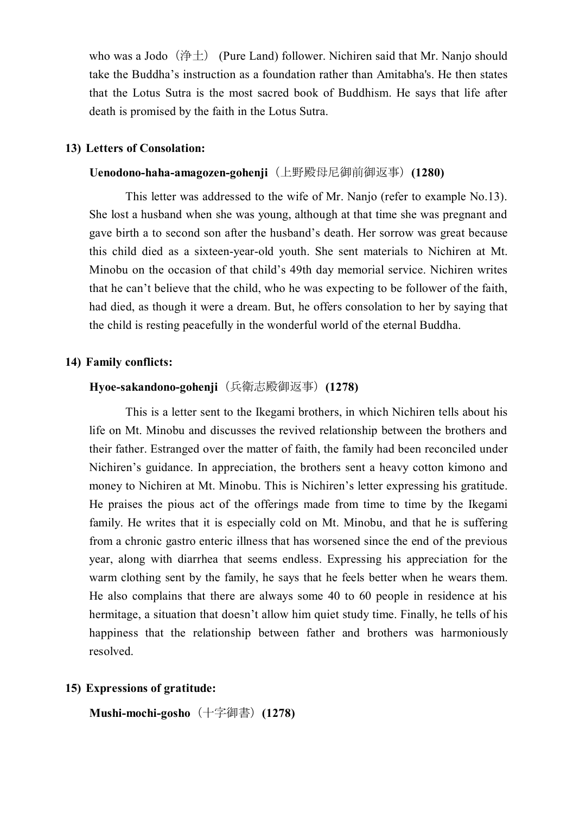who was a Jodo (浄土) (Pure Land) follower. Nichiren said that Mr. Nanjo should take the Buddha's instruction as a foundation rather than Amitabha's. He then states that the Lotus Sutra is the most sacred book of Buddhism. He says that life after death is promised by the faith in the Lotus Sutra.

#### **13) Letters of Consolation:**

#### Uenodono-haha-amagozen-gohenji (上野殿母尼御前御返事) (1280)

This letter was addressed to the wife of Mr. Nanjo (refer to example No.13). She lost a husband when she was young, although at that time she was pregnant and gave birth a to second son after the husband's death. Her sorrow was great because this child died as a sixteen-year-old youth. She sent materials to Nichiren at Mt. Minobu on the occasion of that child's 49th day memorial service. Nichiren writes that he can't believe that the child, who he was expecting to be follower of the faith, had died, as though it were a dream. But, he offers consolation to her by saying that the child is resting peacefully in the wonderful world of the eternal Buddha.

#### **14) Family conflicts:**

#### **Hyoe-sakandono-gohenji** (兵衛志殿御返事) (1278)

This is a letter sent to the Ikegami brothers, in which Nichiren tells about his life on Mt. Minobu and discusses the revived relationship between the brothers and their father. Estranged over the matter of faith, the family had been reconciled under Nichiren's guidance. In appreciation, the brothers sent a heavy cotton kimono and money to Nichiren at Mt. Minobu. This is Nichiren's letter expressing his gratitude. He praises the pious act of the offerings made from time to time by the Ikegami family. He writes that it is especially cold on Mt. Minobu, and that he is suffering from a chronic gastro enteric illness that has worsened since the end of the previous year, along with diarrhea that seems endless. Expressing his appreciation for the warm clothing sent by the family, he says that he feels better when he wears them. He also complains that there are always some 40 to 60 people in residence at his hermitage, a situation that doesn't allow him quiet study time. Finally, he tells of his happiness that the relationship between father and brothers was harmoniously resolved.

#### **15) Expressions of gratitude:**

**Mushi-mochi-gosho** (十字御書) **(1278)**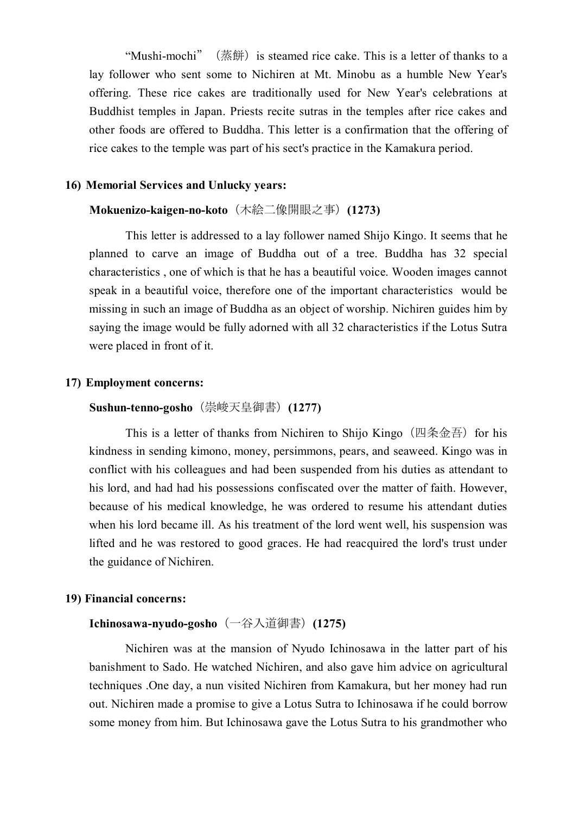"Mushi-mochi" ( 蒸 餅 ) is steamed rice cake. This is a letter of thanks to a lay follower who sent some to Nichiren at Mt. Minobu as a humble New Year's offering. These rice cakes are traditionally used for New Year's celebrations at Buddhist temples in Japan. Priests recite sutras in the temples after rice cakes and other foods are offered to Buddha. This letter is a confirmation that the offering of rice cakes to the temple was part of his sect's practice in the Kamakura period.

#### **16) Memorial Services and Unlucky years:**

### **Mokuenizo-kaigen-no-koto** (木絵二像開眼之事) (1273)

This letter is addressed to a lay follower named Shijo Kingo. It seems that he planned to carve an image of Buddha out of a tree. Buddha has 32 special characteristics , one of which is that he has a beautiful voice. Wooden images cannot speak in a beautiful voice, therefore one of the important characteristics would be missing in such an image of Buddha as an object of worship. Nichiren guides him by saying the image would be fully adorned with all 32 characteristics if the Lotus Sutra were placed in front of it.

#### **17) Employment concerns:**

#### **Sushun-tenno-gosho** (崇峻天皇御書) (1277)

This is a letter of thanks from Nichiren to Shijo Kingo (四条金吾) for his kindness in sending kimono, money, persimmons, pears, and seaweed. Kingo was in conflict with his colleagues and had been suspended from his duties as attendant to his lord, and had had his possessions confiscated over the matter of faith. However, because of his medical knowledge, he was ordered to resume his attendant duties when his lord became ill. As his treatment of the lord went well, his suspension was lifted and he was restored to good graces. He had reacquired the lord's trust under the guidance of Nichiren.

#### **19) Financial concerns:**

### **Ichinosawa-nyudo-gosho** (一谷入道御書) (1275)

Nichiren was at the mansion of Nyudo Ichinosawa in the latter part of his banishment to Sado. He watched Nichiren, and also gave him advice on agricultural techniques .One day, a nun visited Nichiren from Kamakura, but her money had run out. Nichiren made a promise to give a Lotus Sutra to Ichinosawa if he could borrow some money from him. But Ichinosawa gave the Lotus Sutra to his grandmother who